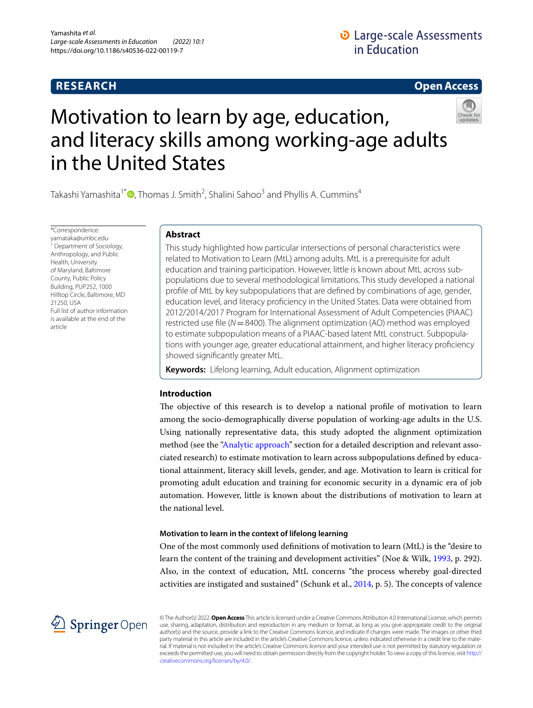## **RESEARCH**

# **D** Large-scale Assessments in Education



# Motivation to learn by age, education, and literacy skills among working-age adults in the United States



Takashi Yamashita<sup>1[\\*](http://orcid.org/0000-0003-2325-126X)</sup>®, Thomas J. Smith<sup>2</sup>, Shalini Sahoo<sup>3</sup> and Phyllis A. Cummins<sup>4</sup>

\*Correspondence: yamataka@umbc.edu <sup>1</sup> Department of Sociology, Anthropology, and Public Health, University of Maryland, Baltimore County, Public Policy Building, PUP252, 1000 Hilltop Circle, Baltimore, MD 21250, USA Full list of author information is available at the end of the article

## **Abstract**

This study highlighted how particular intersections of personal characteristics were related to Motivation to Learn (MtL) among adults. MtL is a prerequisite for adult education and training participation. However, little is known about MtL across subpopulations due to several methodological limitations. This study developed a national profle of MtL by key subpopulations that are defned by combinations of age, gender, education level, and literacy profciency in the United States. Data were obtained from 2012/2014/2017 Program for International Assessment of Adult Competencies (PIAAC) restricted use fle (*N*=8400). The alignment optimization (AO) method was employed to estimate subpopulation means of a PIAAC-based latent MtL construct. Subpopulations with younger age, greater educational attainment, and higher literacy profciency showed signifcantly greater MtL.

**Keywords:** Lifelong learning, Adult education, Alignment optimization

## **Introduction**

The objective of this research is to develop a national profile of motivation to learn among the socio-demographically diverse population of working-age adults in the U.S. Using nationally representative data, this study adopted the alignment optimization method (see the ["Analytic approach](#page-8-0)" section for a detailed description and relevant associated research) to estimate motivation to learn across subpopulations defned by educational attainment, literacy skill levels, gender, and age. Motivation to learn is critical for promoting adult education and training for economic security in a dynamic era of job automation. However, little is known about the distributions of motivation to learn at the national level.

## **Motivation to learn in the context of lifelong learning**

One of the most commonly used defnitions of motivation to learn (MtL) is the "desire to learn the content of the training and development activities" (Noe & Wilk, [1993,](#page-18-0) p. 292). Also, in the context of education, MtL concerns "the process whereby goal-directed activities are instigated and sustained" (Schunk et al.,  $2014$ , p. 5). The concepts of valence



© The Author(s) 2022. **Open Access** This article is licensed under a Creative Commons Attribution 4.0 International License, which permits use, sharing, adaptation, distribution and reproduction in any medium or format, as long as you give appropriate credit to the original author(s) and the source, provide a link to the Creative Commons licence, and indicate if changes were made. The images or other third party material in this article are included in the article's Creative Commons licence, unless indicated otherwise in a credit line to the material. If material is not included in the article's Creative Commons licence and your intended use is not permitted by statutory regulation or exceeds the permitted use, you will need to obtain permission directly from the copyright holder. To view a copy of this licence, visit [http://](http://creativecommons.org/licenses/by/4.0/) [creativecommons.org/licenses/by/4.0/.](http://creativecommons.org/licenses/by/4.0/)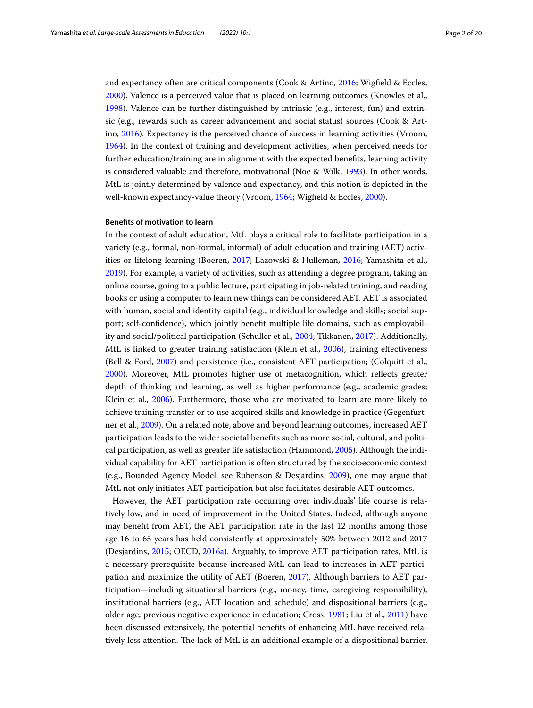and expectancy often are critical components (Cook & Artino, [2016;](#page-17-0) Wigfeld & Eccles, [2000](#page-19-0)). Valence is a perceived value that is placed on learning outcomes (Knowles et al., [1998](#page-18-2)). Valence can be further distinguished by intrinsic (e.g., interest, fun) and extrinsic (e.g., rewards such as career advancement and social status) sources (Cook & Artino, [2016\)](#page-17-0). Expectancy is the perceived chance of success in learning activities (Vroom, [1964](#page-18-3)). In the context of training and development activities, when perceived needs for further education/training are in alignment with the expected benefts, learning activity is considered valuable and therefore, motivational (Noe & Wilk, [1993](#page-18-0)). In other words, MtL is jointly determined by valence and expectancy, and this notion is depicted in the well-known expectancy-value theory (Vroom, [1964](#page-18-3); Wigfeld & Eccles, [2000\)](#page-19-0).

#### **Benefts of motivation to learn**

In the context of adult education, MtL plays a critical role to facilitate participation in a variety (e.g., formal, non-formal, informal) of adult education and training (AET) activities or lifelong learning (Boeren, [2017](#page-17-1); Lazowski & Hulleman, [2016](#page-18-4); Yamashita et al., [2019](#page-19-1)). For example, a variety of activities, such as attending a degree program, taking an online course, going to a public lecture, participating in job-related training, and reading books or using a computer to learn new things can be considered AET. AET is associated with human, social and identity capital (e.g., individual knowledge and skills; social support; self-confdence), which jointly beneft multiple life domains, such as employability and social/political participation (Schuller et al., [2004;](#page-18-5) Tikkanen, [2017](#page-18-6)). Additionally, MtL is linked to greater training satisfaction (Klein et al., [2006](#page-18-7)), training efectiveness (Bell & Ford, [2007\)](#page-17-2) and persistence (i.e., consistent AET participation; (Colquitt et al., [2000](#page-17-3)). Moreover, MtL promotes higher use of metacognition, which refects greater depth of thinking and learning, as well as higher performance (e.g., academic grades; Klein et al., [2006\)](#page-18-7). Furthermore, those who are motivated to learn are more likely to achieve training transfer or to use acquired skills and knowledge in practice (Gegenfurtner et al., [2009](#page-17-4)). On a related note, above and beyond learning outcomes, increased AET participation leads to the wider societal benefts such as more social, cultural, and political participation, as well as greater life satisfaction (Hammond, [2005](#page-18-8)). Although the individual capability for AET participation is often structured by the socioeconomic context (e.g., Bounded Agency Model; see Rubenson & Desjardins, [2009](#page-18-9)), one may argue that MtL not only initiates AET participation but also facilitates desirable AET outcomes.

However, the AET participation rate occurring over individuals' life course is relatively low, and in need of improvement in the United States. Indeed, although anyone may beneft from AET, the AET participation rate in the last 12 months among those age 16 to 65 years has held consistently at approximately 50% between 2012 and 2017 (Desjardins, [2015](#page-17-5); OECD, [2016a](#page-18-10)). Arguably, to improve AET participation rates, MtL is a necessary prerequisite because increased MtL can lead to increases in AET participation and maximize the utility of AET (Boeren, [2017](#page-17-1)). Although barriers to AET participation—including situational barriers (e.g., money, time, caregiving responsibility), institutional barriers (e.g., AET location and schedule) and dispositional barriers (e.g., older age, previous negative experience in education; Cross, [1981;](#page-17-6) Liu et al., [2011\)](#page-18-11) have been discussed extensively, the potential benefts of enhancing MtL have received relatively less attention. The lack of MtL is an additional example of a dispositional barrier.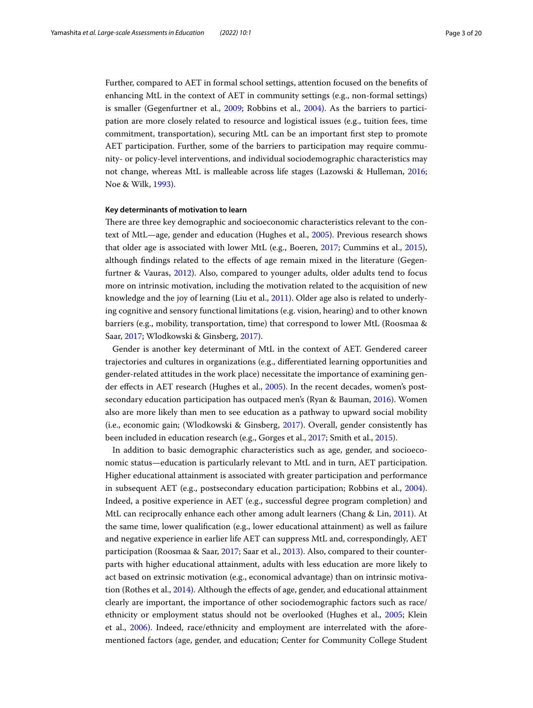Further, compared to AET in formal school settings, attention focused on the benefts of enhancing MtL in the context of AET in community settings (e.g., non-formal settings) is smaller (Gegenfurtner et al., [2009](#page-17-4); Robbins et al., [2004](#page-18-12)). As the barriers to participation are more closely related to resource and logistical issues (e.g., tuition fees, time commitment, transportation), securing MtL can be an important frst step to promote AET participation. Further, some of the barriers to participation may require community- or policy-level interventions, and individual sociodemographic characteristics may not change, whereas MtL is malleable across life stages (Lazowski & Hulleman, [2016](#page-18-4); Noe & Wilk, [1993\)](#page-18-0).

## **Key determinants of motivation to learn**

There are three key demographic and socioeconomic characteristics relevant to the context of MtL—age, gender and education (Hughes et al., [2005](#page-18-13)). Previous research shows that older age is associated with lower MtL (e.g., Boeren, [2017](#page-17-1); Cummins et al., [2015](#page-17-7)), although fndings related to the efects of age remain mixed in the literature (Gegenfurtner & Vauras, [2012](#page-17-8)). Also, compared to younger adults, older adults tend to focus more on intrinsic motivation, including the motivation related to the acquisition of new knowledge and the joy of learning (Liu et al., [2011\)](#page-18-11). Older age also is related to underlying cognitive and sensory functional limitations (e.g. vision, hearing) and to other known barriers (e.g., mobility, transportation, time) that correspond to lower MtL (Roosmaa & Saar, [2017;](#page-18-14) Wlodkowski & Ginsberg, [2017](#page-19-2)).

Gender is another key determinant of MtL in the context of AET. Gendered career trajectories and cultures in organizations (e.g., diferentiated learning opportunities and gender-related attitudes in the work place) necessitate the importance of examining gender efects in AET research (Hughes et al., [2005](#page-18-13)). In the recent decades, women's postsecondary education participation has outpaced men's (Ryan & Bauman, [2016](#page-18-15)). Women also are more likely than men to see education as a pathway to upward social mobility (i.e., economic gain; (Wlodkowski & Ginsberg, [2017\)](#page-19-2). Overall, gender consistently has been included in education research (e.g., Gorges et al., [2017](#page-17-9); Smith et al., [2015](#page-18-16)).

In addition to basic demographic characteristics such as age, gender, and socioeconomic status—education is particularly relevant to MtL and in turn, AET participation. Higher educational attainment is associated with greater participation and performance in subsequent AET (e.g., postsecondary education participation; Robbins et al., [2004](#page-18-12)). Indeed, a positive experience in AET (e.g., successful degree program completion) and MtL can reciprocally enhance each other among adult learners (Chang & Lin, [2011\)](#page-17-10). At the same time, lower qualifcation (e.g., lower educational attainment) as well as failure and negative experience in earlier life AET can suppress MtL and, correspondingly, AET participation (Roosmaa & Saar, [2017](#page-18-14); Saar et al., [2013\)](#page-18-17). Also, compared to their counterparts with higher educational attainment, adults with less education are more likely to act based on extrinsic motivation (e.g., economical advantage) than on intrinsic motivation (Rothes et al., [2014](#page-18-18)). Although the efects of age, gender, and educational attainment clearly are important, the importance of other sociodemographic factors such as race/ ethnicity or employment status should not be overlooked (Hughes et al., [2005;](#page-18-13) Klein et al., [2006\)](#page-18-7). Indeed, race/ethnicity and employment are interrelated with the aforementioned factors (age, gender, and education; Center for Community College Student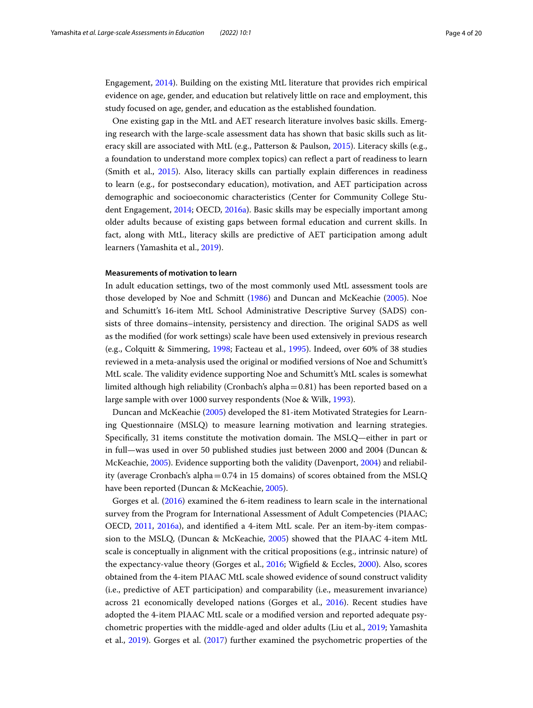Engagement, [2014](#page-17-11)). Building on the existing MtL literature that provides rich empirical evidence on age, gender, and education but relatively little on race and employment, this study focused on age, gender, and education as the established foundation.

One existing gap in the MtL and AET research literature involves basic skills. Emerging research with the large-scale assessment data has shown that basic skills such as literacy skill are associated with MtL (e.g., Patterson & Paulson, [2015\)](#page-18-19). Literacy skills (e.g., a foundation to understand more complex topics) can refect a part of readiness to learn (Smith et al., [2015](#page-18-16)). Also, literacy skills can partially explain diferences in readiness to learn (e.g., for postsecondary education), motivation, and AET participation across demographic and socioeconomic characteristics (Center for Community College Student Engagement, [2014](#page-17-11); OECD, [2016a](#page-18-10)). Basic skills may be especially important among older adults because of existing gaps between formal education and current skills. In fact, along with MtL, literacy skills are predictive of AET participation among adult learners (Yamashita et al., [2019](#page-19-1)).

## **Measurements of motivation to learn**

In adult education settings, two of the most commonly used MtL assessment tools are those developed by Noe and Schmitt ([1986](#page-18-20)) and Duncan and McKeachie ([2005\)](#page-17-12). Noe and Schumitt's 16-item MtL School Administrative Descriptive Survey (SADS) consists of three domains–intensity, persistency and direction. The original SADS as well as the modifed (for work settings) scale have been used extensively in previous research (e.g., Colquitt & Simmering, [1998;](#page-17-13) Facteau et al., [1995](#page-17-14)). Indeed, over 60% of 38 studies reviewed in a meta-analysis used the original or modifed versions of Noe and Schumitt's MtL scale. The validity evidence supporting Noe and Schumitt's MtL scales is somewhat limited although high reliability (Cronbach's alpha $=0.81$ ) has been reported based on a large sample with over 1000 survey respondents (Noe & Wilk, [1993\)](#page-18-0).

Duncan and McKeachie ([2005](#page-17-12)) developed the 81-item Motivated Strategies for Learning Questionnaire (MSLQ) to measure learning motivation and learning strategies. Specifically, 31 items constitute the motivation domain. The MSLQ—either in part or in full—was used in over 50 published studies just between 2000 and 2004 (Duncan & McKeachie, [2005\)](#page-17-12). Evidence supporting both the validity (Davenport, [2004\)](#page-17-15) and reliability (average Cronbach's alpha=0.74 in 15 domains) of scores obtained from the MSLQ have been reported (Duncan & McKeachie, [2005](#page-17-12)).

Gorges et al. [\(2016\)](#page-17-16) examined the 6-item readiness to learn scale in the international survey from the Program for International Assessment of Adult Competencies (PIAAC; OECD, [2011](#page-18-21), [2016a\)](#page-18-10), and identifed a 4-item MtL scale. Per an item-by-item compassion to the MSLQ, (Duncan & McKeachie, [2005\)](#page-17-12) showed that the PIAAC 4-item MtL scale is conceptually in alignment with the critical propositions (e.g., intrinsic nature) of the expectancy-value theory (Gorges et al., [2016](#page-17-16); Wigfeld & Eccles, [2000](#page-19-0)). Also, scores obtained from the 4-item PIAAC MtL scale showed evidence of sound construct validity (i.e., predictive of AET participation) and comparability (i.e., measurement invariance) across 21 economically developed nations (Gorges et al., [2016](#page-17-16)). Recent studies have adopted the 4-item PIAAC MtL scale or a modifed version and reported adequate psychometric properties with the middle-aged and older adults (Liu et al., [2019;](#page-18-22) Yamashita et al., [2019](#page-19-1)). Gorges et al. [\(2017\)](#page-17-9) further examined the psychometric properties of the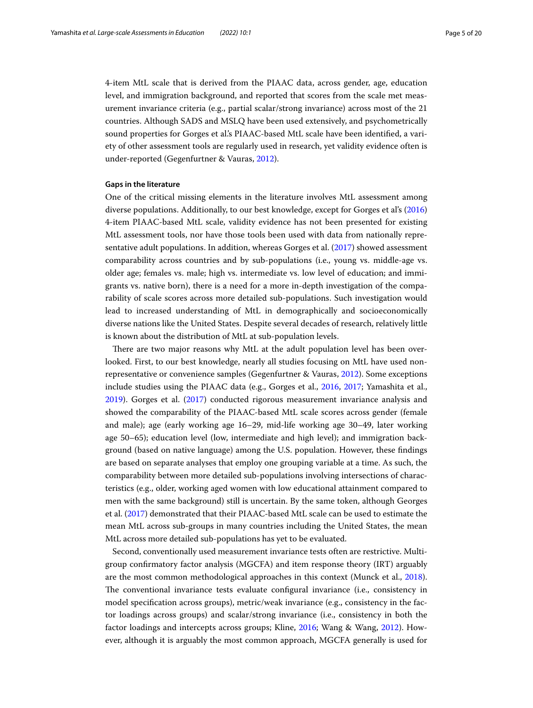4-item MtL scale that is derived from the PIAAC data, across gender, age, education level, and immigration background, and reported that scores from the scale met measurement invariance criteria (e.g., partial scalar/strong invariance) across most of the 21 countries. Although SADS and MSLQ have been used extensively, and psychometrically sound properties for Gorges et al.'s PIAAC-based MtL scale have been identifed, a variety of other assessment tools are regularly used in research, yet validity evidence often is under-reported (Gegenfurtner & Vauras, [2012](#page-17-8)).

## **Gaps in the literature**

One of the critical missing elements in the literature involves MtL assessment among diverse populations. Additionally, to our best knowledge, except for Gorges et al's ([2016](#page-17-16)) 4-item PIAAC-based MtL scale, validity evidence has not been presented for existing MtL assessment tools, nor have those tools been used with data from nationally repre-sentative adult populations. In addition, whereas Gorges et al. ([2017](#page-17-9)) showed assessment comparability across countries and by sub-populations (i.e., young vs. middle-age vs. older age; females vs. male; high vs. intermediate vs. low level of education; and immigrants vs. native born), there is a need for a more in-depth investigation of the comparability of scale scores across more detailed sub-populations. Such investigation would lead to increased understanding of MtL in demographically and socioeconomically diverse nations like the United States. Despite several decades of research, relatively little is known about the distribution of MtL at sub-population levels.

There are two major reasons why MtL at the adult population level has been overlooked. First, to our best knowledge, nearly all studies focusing on MtL have used nonrepresentative or convenience samples (Gegenfurtner & Vauras, [2012\)](#page-17-8). Some exceptions include studies using the PIAAC data (e.g., Gorges et al., [2016,](#page-17-16) [2017](#page-17-9); Yamashita et al., [2019](#page-19-1)). Gorges et al. [\(2017\)](#page-17-9) conducted rigorous measurement invariance analysis and showed the comparability of the PIAAC-based MtL scale scores across gender (female and male); age (early working age 16–29, mid-life working age 30–49, later working age 50–65); education level (low, intermediate and high level); and immigration background (based on native language) among the U.S. population. However, these fndings are based on separate analyses that employ one grouping variable at a time. As such, the comparability between more detailed sub-populations involving intersections of characteristics (e.g., older, working aged women with low educational attainment compared to men with the same background) still is uncertain. By the same token, although Georges et al. [\(2017\)](#page-17-9) demonstrated that their PIAAC-based MtL scale can be used to estimate the mean MtL across sub-groups in many countries including the United States, the mean MtL across more detailed sub-populations has yet to be evaluated.

Second, conventionally used measurement invariance tests often are restrictive. Multigroup confrmatory factor analysis (MGCFA) and item response theory (IRT) arguably are the most common methodological approaches in this context (Munck et al., [2018](#page-18-23)). The conventional invariance tests evaluate configural invariance (i.e., consistency in model specifcation across groups), metric/weak invariance (e.g., consistency in the factor loadings across groups) and scalar/strong invariance (i.e., consistency in both the factor loadings and intercepts across groups; Kline, [2016;](#page-18-24) Wang & Wang, [2012\)](#page-19-3). However, although it is arguably the most common approach, MGCFA generally is used for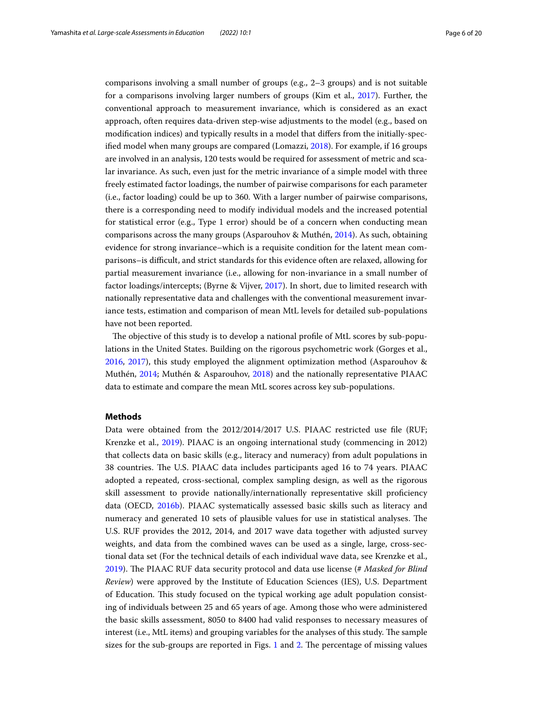comparisons involving a small number of groups (e.g., 2–3 groups) and is not suitable for a comparisons involving larger numbers of groups (Kim et al., [2017](#page-18-25)). Further, the conventional approach to measurement invariance, which is considered as an exact approach, often requires data-driven step-wise adjustments to the model (e.g., based on modifcation indices) and typically results in a model that difers from the initially-specifed model when many groups are compared (Lomazzi, [2018\)](#page-18-26). For example, if 16 groups are involved in an analysis, 120 tests would be required for assessment of metric and scalar invariance. As such, even just for the metric invariance of a simple model with three freely estimated factor loadings, the number of pairwise comparisons for each parameter (i.e., factor loading) could be up to 360. With a larger number of pairwise comparisons, there is a corresponding need to modify individual models and the increased potential for statistical error (e.g., Type 1 error) should be of a concern when conducting mean comparisons across the many groups (Asparouhov & Muthén, [2014\)](#page-17-17). As such, obtaining evidence for strong invariance–which is a requisite condition for the latent mean comparisons–is difcult, and strict standards for this evidence often are relaxed, allowing for partial measurement invariance (i.e., allowing for non-invariance in a small number of factor loadings/intercepts; (Byrne & Vijver, [2017\)](#page-17-18). In short, due to limited research with nationally representative data and challenges with the conventional measurement invariance tests, estimation and comparison of mean MtL levels for detailed sub-populations have not been reported.

The objective of this study is to develop a national profile of MtL scores by sub-populations in the United States. Building on the rigorous psychometric work (Gorges et al., [2016](#page-17-16), [2017\)](#page-17-9), this study employed the alignment optimization method (Asparouhov & Muthén, [2014;](#page-17-17) Muthén & Asparouhov, [2018](#page-18-27)) and the nationally representative PIAAC data to estimate and compare the mean MtL scores across key sub-populations.

## **Methods**

Data were obtained from the 2012/2014/2017 U.S. PIAAC restricted use fle (RUF; Krenzke et al., [2019\)](#page-18-28). PIAAC is an ongoing international study (commencing in 2012) that collects data on basic skills (e.g., literacy and numeracy) from adult populations in 38 countries. The U.S. PIAAC data includes participants aged 16 to 74 years. PIAAC adopted a repeated, cross-sectional, complex sampling design, as well as the rigorous skill assessment to provide nationally/internationally representative skill profciency data (OECD, [2016b\)](#page-18-29). PIAAC systematically assessed basic skills such as literacy and numeracy and generated 10 sets of plausible values for use in statistical analyses. The U.S. RUF provides the 2012, 2014, and 2017 wave data together with adjusted survey weights, and data from the combined waves can be used as a single, large, cross-sectional data set (For the technical details of each individual wave data, see Krenzke et al., [2019](#page-18-28)). The PIAAC RUF data security protocol and data use license (# Masked for Blind *Review*) were approved by the Institute of Education Sciences (IES), U.S. Department of Education. Tis study focused on the typical working age adult population consisting of individuals between 25 and 65 years of age. Among those who were administered the basic skills assessment, 8050 to 8400 had valid responses to necessary measures of interest (i.e., MtL items) and grouping variables for the analyses of this study. The sample sizes for the sub-groups are reported in Figs.  $1$  and  $2$ . The percentage of missing values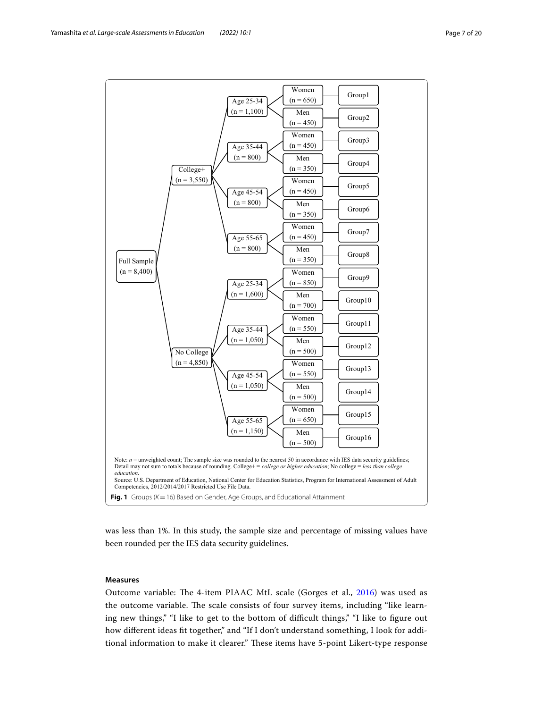

<span id="page-6-0"></span>was less than 1%. In this study, the sample size and percentage of missing values have been rounded per the IES data security guidelines.

## **Measures**

Outcome variable: The 4-item PIAAC MtL scale (Gorges et al., [2016](#page-17-16)) was used as the outcome variable. The scale consists of four survey items, including "like learning new things," "I like to get to the bottom of difficult things," "I like to figure out how different ideas fit together," and "If I don't understand something, I look for additional information to make it clearer." These items have 5-point Likert-type response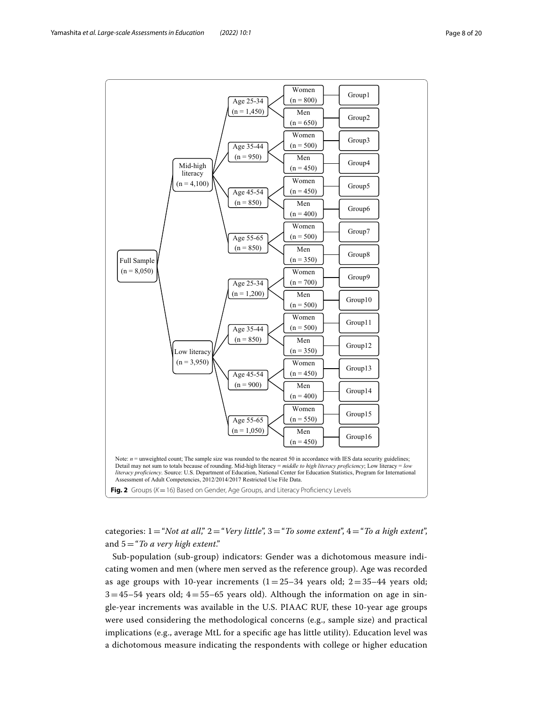

<span id="page-7-0"></span>categories: 1="*Not at all*," 2="*Very little*", 3="*To some extent*", 4="*To a high extent*", and 5="*To a very high extent*."

Sub-population (sub-group) indicators: Gender was a dichotomous measure indicating women and men (where men served as the reference group). Age was recorded as age groups with 10-year increments  $(1=25-34$  years old;  $2=35-44$  years old;  $3=45-54$  years old;  $4=55-65$  years old). Although the information on age in single-year increments was available in the U.S. PIAAC RUF, these 10-year age groups were used considering the methodological concerns (e.g., sample size) and practical implications (e.g., average MtL for a specifc age has little utility). Education level was a dichotomous measure indicating the respondents with college or higher education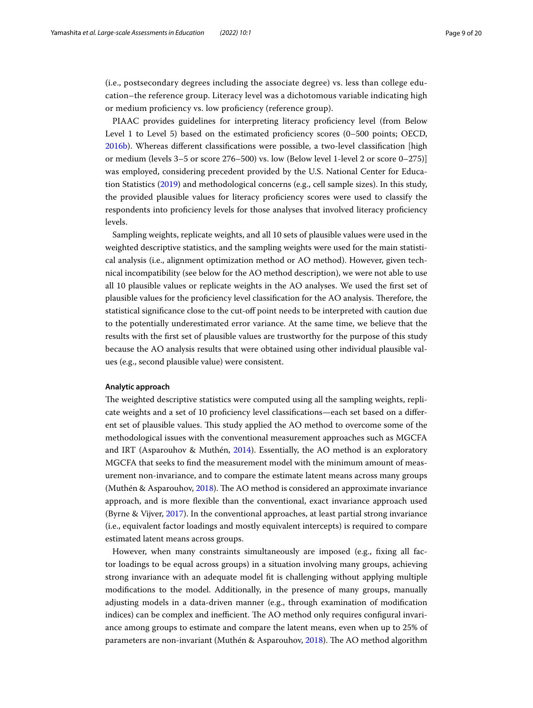(i.e., postsecondary degrees including the associate degree) vs. less than college education–the reference group. Literacy level was a dichotomous variable indicating high or medium profciency vs. low profciency (reference group).

PIAAC provides guidelines for interpreting literacy profciency level (from Below Level 1 to Level 5) based on the estimated proficiency scores (0–500 points; OECD, [2016b](#page-18-29)). Whereas diferent classifcations were possible, a two-level classifcation [high or medium (levels 3–5 or score 276–500) vs. low (Below level 1-level 2 or score 0–275)] was employed, considering precedent provided by the U.S. National Center for Education Statistics [\(2019\)](#page-18-30) and methodological concerns (e.g., cell sample sizes). In this study, the provided plausible values for literacy profciency scores were used to classify the respondents into profciency levels for those analyses that involved literacy profciency levels.

Sampling weights, replicate weights, and all 10 sets of plausible values were used in the weighted descriptive statistics, and the sampling weights were used for the main statistical analysis (i.e., alignment optimization method or AO method). However, given technical incompatibility (see below for the AO method description), we were not able to use all 10 plausible values or replicate weights in the AO analyses. We used the frst set of plausible values for the proficiency level classification for the AO analysis. Therefore, the statistical signifcance close to the cut-of point needs to be interpreted with caution due to the potentially underestimated error variance. At the same time, we believe that the results with the frst set of plausible values are trustworthy for the purpose of this study because the AO analysis results that were obtained using other individual plausible values (e.g., second plausible value) were consistent.

## <span id="page-8-0"></span>**Analytic approach**

The weighted descriptive statistics were computed using all the sampling weights, replicate weights and a set of 10 profciency level classifcations—each set based on a diferent set of plausible values. This study applied the AO method to overcome some of the methodological issues with the conventional measurement approaches such as MGCFA and IRT (Asparouhov & Muthén, [2014\)](#page-17-17). Essentially, the AO method is an exploratory MGCFA that seeks to fnd the measurement model with the minimum amount of measurement non-invariance, and to compare the estimate latent means across many groups (Muthén & Asparouhov,  $2018$ ). The AO method is considered an approximate invariance approach, and is more fexible than the conventional, exact invariance approach used (Byrne & Vijver, [2017](#page-17-18)). In the conventional approaches, at least partial strong invariance (i.e., equivalent factor loadings and mostly equivalent intercepts) is required to compare estimated latent means across groups.

However, when many constraints simultaneously are imposed (e.g., fxing all factor loadings to be equal across groups) in a situation involving many groups, achieving strong invariance with an adequate model ft is challenging without applying multiple modifcations to the model. Additionally, in the presence of many groups, manually adjusting models in a data-driven manner (e.g., through examination of modifcation indices) can be complex and inefficient. The AO method only requires configural invariance among groups to estimate and compare the latent means, even when up to 25% of parameters are non-invariant (Muthén & Asparouhov, [2018\)](#page-18-27). The AO method algorithm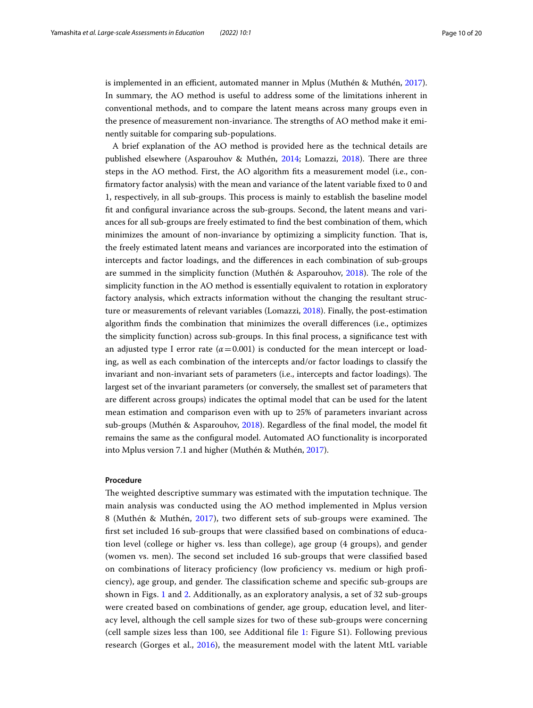is implemented in an efficient, automated manner in Mplus (Muthén & Muthén, [2017](#page-18-31)). In summary, the AO method is useful to address some of the limitations inherent in conventional methods, and to compare the latent means across many groups even in the presence of measurement non-invariance. The strengths of AO method make it eminently suitable for comparing sub-populations.

A brief explanation of the AO method is provided here as the technical details are published elsewhere (Asparouhov & Muthén, [2014](#page-17-17); Lomazzi, [2018](#page-18-26)). There are three steps in the AO method. First, the AO algorithm fts a measurement model (i.e., confrmatory factor analysis) with the mean and variance of the latent variable fxed to 0 and 1, respectively, in all sub-groups. Tis process is mainly to establish the baseline model ft and confgural invariance across the sub-groups. Second, the latent means and variances for all sub-groups are freely estimated to fnd the best combination of them, which minimizes the amount of non-invariance by optimizing a simplicity function. Tat is, the freely estimated latent means and variances are incorporated into the estimation of intercepts and factor loadings, and the diferences in each combination of sub-groups are summed in the simplicity function (Muthén & Asparouhov, [2018](#page-18-27)). The role of the simplicity function in the AO method is essentially equivalent to rotation in exploratory factory analysis, which extracts information without the changing the resultant structure or measurements of relevant variables (Lomazzi, [2018](#page-18-26)). Finally, the post-estimation algorithm fnds the combination that minimizes the overall diferences (i.e., optimizes the simplicity function) across sub-groups. In this fnal process, a signifcance test with an adjusted type I error rate  $(\alpha = 0.001)$  is conducted for the mean intercept or loading, as well as each combination of the intercepts and/or factor loadings to classify the invariant and non-invariant sets of parameters (i.e., intercepts and factor loadings). The largest set of the invariant parameters (or conversely, the smallest set of parameters that are diferent across groups) indicates the optimal model that can be used for the latent mean estimation and comparison even with up to 25% of parameters invariant across sub-groups (Muthén & Asparouhov, [2018](#page-18-27)). Regardless of the fnal model, the model ft remains the same as the confgural model. Automated AO functionality is incorporated into Mplus version 7.1 and higher (Muthén & Muthén, [2017](#page-18-31)).

#### **Procedure**

The weighted descriptive summary was estimated with the imputation technique. The main analysis was conducted using the AO method implemented in Mplus version 8 (Muthén & Muthén, [2017\)](#page-18-31), two different sets of sub-groups were examined. The frst set included 16 sub-groups that were classifed based on combinations of education level (college or higher vs. less than college), age group (4 groups), and gender (women vs. men). The second set included 16 sub-groups that were classified based on combinations of literacy profciency (low profciency vs. medium or high profciency), age group, and gender. The classification scheme and specific sub-groups are shown in Figs. [1](#page-6-0) and [2](#page-7-0). Additionally, as an exploratory analysis, a set of 32 sub-groups were created based on combinations of gender, age group, education level, and literacy level, although the cell sample sizes for two of these sub-groups were concerning (cell sample sizes less than 100, see Additional fle [1](#page-16-0): Figure S1). Following previous research (Gorges et al., [2016](#page-17-16)), the measurement model with the latent MtL variable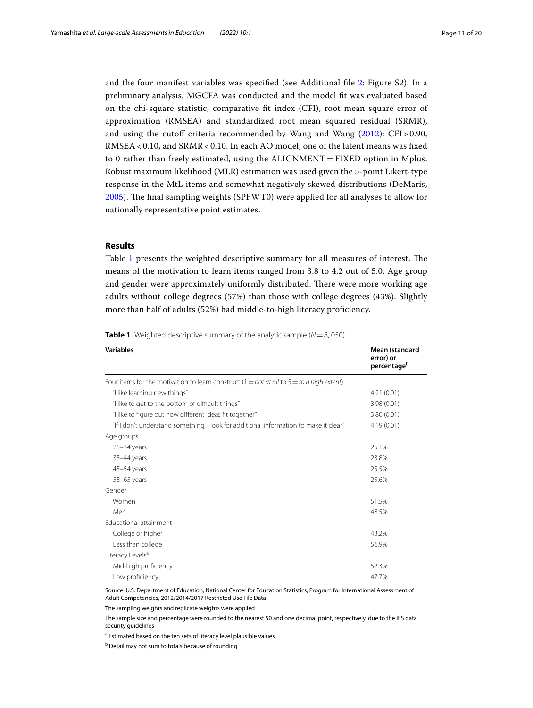and the four manifest variables was specifed (see Additional fle [2](#page-16-1): Figure S2). In a preliminary analysis, MGCFA was conducted and the model ft was evaluated based on the chi-square statistic, comparative ft index (CFI), root mean square error of approximation (RMSEA) and standardized root mean squared residual (SRMR), and using the cutoff criteria recommended by Wang and Wang  $(2012)$  $(2012)$  $(2012)$ : CFI > 0.90, RMSEA < 0.10, and SRMR< 0.10. In each AO model, one of the latent means was fxed to 0 rather than freely estimated, using the ALIGNMENT =FIXED option in Mplus. Robust maximum likelihood (MLR) estimation was used given the 5-point Likert-type response in the MtL items and somewhat negatively skewed distributions (DeMaris, [2005\)](#page-17-19). The final sampling weights (SPFWT0) were applied for all analyses to allow for nationally representative point estimates.

## **Results**

Table [1](#page-10-0) presents the weighted descriptive summary for all measures of interest. The means of the motivation to learn items ranged from 3.8 to 4.2 out of 5.0. Age group and gender were approximately uniformly distributed. There were more working age adults without college degrees (57%) than those with college degrees (43%). Slightly more than half of adults (52%) had middle-to-high literacy profciency.

<span id="page-10-0"></span>**Table 1** Weighted descriptive summary of the analytic sample (*N*=8, 050)

| <b>Variables</b>                                                                            | Mean (standard<br>error) or<br>percentage <sup>b</sup> |  |  |  |
|---------------------------------------------------------------------------------------------|--------------------------------------------------------|--|--|--|
| Four items for the motivation to learn construct (1 = not at all to $5 =$ to a high extent) |                                                        |  |  |  |
| "I like learning new things"                                                                | 4.21(0.01)                                             |  |  |  |
| "I like to get to the bottom of difficult things"                                           | 3.98(0.01)                                             |  |  |  |
| "I like to figure out how different ideas fit together"                                     | 3.80(0.01)                                             |  |  |  |
| "If I don't understand something, I look for additional information to make it clear"       | 4.19(0.01)                                             |  |  |  |
| Age groups                                                                                  |                                                        |  |  |  |
| $25 - 34$ years                                                                             | 25.1%                                                  |  |  |  |
| 35-44 years                                                                                 | 23.8%                                                  |  |  |  |
| 45-54 years                                                                                 | 25.5%                                                  |  |  |  |
| 55-65 years                                                                                 | 25.6%                                                  |  |  |  |
| Gender                                                                                      |                                                        |  |  |  |
| Women                                                                                       | 51.5%                                                  |  |  |  |
| Men                                                                                         | 48.5%                                                  |  |  |  |
| Educational attainment                                                                      |                                                        |  |  |  |
| College or higher                                                                           | 43.2%                                                  |  |  |  |
| Less than college                                                                           | 56.9%                                                  |  |  |  |
| Literacy Levels <sup>a</sup>                                                                |                                                        |  |  |  |
| Mid-high proficiency                                                                        | 52.3%                                                  |  |  |  |
| Low proficiency                                                                             | 47.7%                                                  |  |  |  |

Source: U.S. Department of Education, National Center for Education Statistics, Program for International Assessment of Adult Competencies, 2012/2014/2017 Restricted Use File Data

The sampling weights and replicate weights were applied

The sample size and percentage were rounded to the nearest 50 and one decimal point, respectively, due to the IES data security quidelines

<sup>a</sup> Estimated based on the ten sets of literacy level plausible values

**b** Detail may not sum to totals because of rounding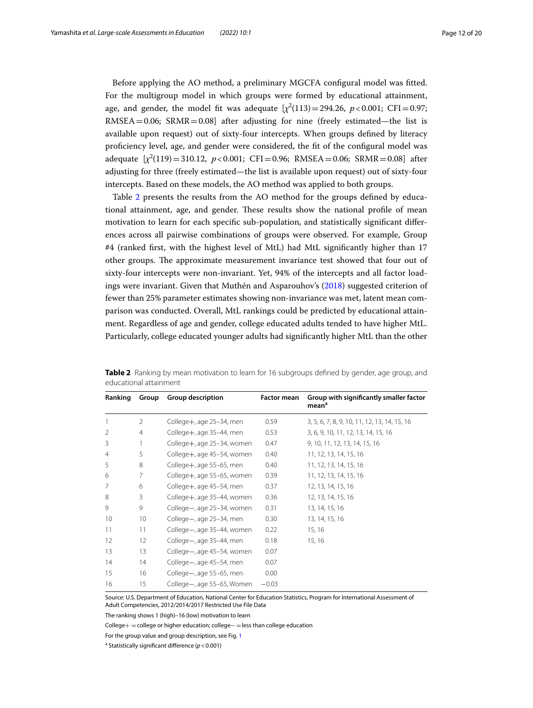Before applying the AO method, a preliminary MGCFA confgural model was ftted. For the multigroup model in which groups were formed by educational attainment, age, and gender, the model fit was adequate  $[\chi^2(113) = 294.26, p < 0.001; CFI = 0.97;$  $RMSEA = 0.06$ ;  $SRMR = 0.08$ ] after adjusting for nine (freely estimated—the list is available upon request) out of sixty-four intercepts. When groups defned by literacy profciency level, age, and gender were considered, the ft of the confgural model was adequate  $[\chi^2(119) = 310.12, p < 0.001; CFI = 0.96; RMSEA = 0.06; SRMR = 0.08]$  after adjusting for three (freely estimated—the list is available upon request) out of sixty-four intercepts. Based on these models, the AO method was applied to both groups.

Table [2](#page-11-0) presents the results from the AO method for the groups defned by educational attainment, age, and gender. These results show the national profile of mean motivation to learn for each specifc sub-population, and statistically signifcant diferences across all pairwise combinations of groups were observed. For example, Group #4 (ranked frst, with the highest level of MtL) had MtL signifcantly higher than 17 other groups. The approximate measurement invariance test showed that four out of sixty-four intercepts were non-invariant. Yet, 94% of the intercepts and all factor loadings were invariant. Given that Muthén and Asparouhov's ([2018](#page-18-27)) suggested criterion of fewer than 25% parameter estimates showing non-invariance was met, latent mean comparison was conducted. Overall, MtL rankings could be predicted by educational attainment. Regardless of age and gender, college educated adults tended to have higher MtL. Particularly, college educated younger adults had signifcantly higher MtL than the other

| Ranking        | Group           | <b>Group description</b>    | <b>Factor mean</b> | Group with significantly smaller factor<br>mean <sup>a</sup> |
|----------------|-----------------|-----------------------------|--------------------|--------------------------------------------------------------|
| 1              | $\mathfrak{D}$  | College+, age 25-34, men    | 0.59               | 3, 5, 6, 7, 8, 9, 10, 11, 12, 13, 14, 15, 16                 |
| $\mathcal{P}$  | $\overline{4}$  | College+, age 35-44, men    | 0.53               | 3, 6, 9, 10, 11, 12, 13, 14, 15, 16                          |
| 3              | 1               | College+, age 25-34, women  | 0.47               | 9, 10, 11, 12, 13, 14, 15, 16                                |
| $\overline{4}$ | 5               | College+, age 45-54, women  | 0.40               | 11, 12, 13, 14, 15, 16                                       |
| 5              | 8               | College+, age 55-65, men    | 0.40               | 11, 12, 13, 14, 15, 16                                       |
| 6              | 7               | College+, age 55-65, women  | 0.39               | 11, 12, 13, 14, 15, 16                                       |
| 7              | 6               | College+, age 45-54, men    | 0.37               | 12, 13, 14, 15, 16                                           |
| 8              | 3               | College+, age 35-44, women  | 0.36               | 12, 13, 14, 15, 16                                           |
| 9              | 9               | College-, age 25-34, women  | 0.31               | 13, 14, 15, 16                                               |
| 10             | 10 <sup>°</sup> | College-, age 25-34, men    | 0.30               | 13, 14, 15, 16                                               |
| 11             | 11              | College-, age 35-44, women  | 0.22               | 15, 16                                                       |
| 12             | 12              | College-, age 35-44, men    | 0.18               | 15, 16                                                       |
| 13             | 13              | College -, age 45-54, women | 0.07               |                                                              |
| 14             | 14              | College-, age 45-54, men    | 0.07               |                                                              |
| 15             | 16              | College-, age 55-65, men    | 0.00               |                                                              |
| 16             | 15              | College-, age 55-65, Women  | $-0.03$            |                                                              |

<span id="page-11-0"></span>**Table 2** Ranking by mean motivation to learn for 16 subgroups defined by gender, age group, and educational attainment

Source: U.S. Department of Education, National Center for Education Statistics, Program for International Assessment of Adult Competencies, 2012/2014/2017 Restricted Use File Data

The ranking shows 1 (high)–16 (low) motivation to learn

College+ =college or higher education; college−=less than college education

For the group value and group description, see Fig. [1](#page-6-0)

a Statistically signifcant diference (*p*<0.001)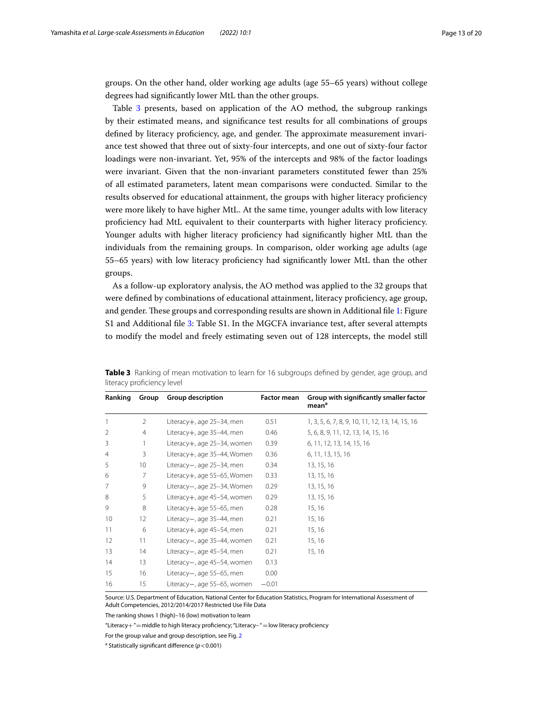groups. On the other hand, older working age adults (age 55–65 years) without college degrees had signifcantly lower MtL than the other groups.

Table [3](#page-12-0) presents, based on application of the AO method, the subgroup rankings by their estimated means, and signifcance test results for all combinations of groups defined by literacy proficiency, age, and gender. The approximate measurement invariance test showed that three out of sixty-four intercepts, and one out of sixty-four factor loadings were non-invariant. Yet, 95% of the intercepts and 98% of the factor loadings were invariant. Given that the non-invariant parameters constituted fewer than 25% of all estimated parameters, latent mean comparisons were conducted. Similar to the results observed for educational attainment, the groups with higher literacy profciency were more likely to have higher MtL. At the same time, younger adults with low literacy profciency had MtL equivalent to their counterparts with higher literacy profciency. Younger adults with higher literacy profciency had signifcantly higher MtL than the individuals from the remaining groups. In comparison, older working age adults (age 55–65 years) with low literacy profciency had signifcantly lower MtL than the other groups.

As a follow-up exploratory analysis, the AO method was applied to the 32 groups that were defned by combinations of educational attainment, literacy profciency, age group, and gender. These groups and corresponding results are shown in Additional file [1:](#page-16-0) Figure S1 and Additional fle [3](#page-16-2): Table S1. In the MGCFA invariance test, after several attempts to modify the model and freely estimating seven out of 128 intercepts, the model still

| Ranking        | Group           | <b>Group description</b>      | <b>Factor mean</b> | Group with significantly smaller factor<br>mean <sup>a</sup> |
|----------------|-----------------|-------------------------------|--------------------|--------------------------------------------------------------|
| 1              | 2               | Literacy+, age 25-34, men     | 0.51               | 1, 3, 5, 6, 7, 8, 9, 10, 11, 12, 13, 14, 15, 16              |
| $\overline{2}$ | $\overline{4}$  | Literacy+, age 35-44, men     | 0.46               | 5, 6, 8, 9, 11, 12, 13, 14, 15, 16                           |
| 3              | 1               | Literacy+, age 25-34, women   | 0.39               | 6, 11, 12, 13, 14, 15, 16                                    |
| 4              | 3               | Literacy+, age 35-44, Women   | 0.36               | 6, 11, 13, 15, 16                                            |
| 5              | 10 <sup>°</sup> | Literacy-, age 25-34, men     | 0.34               | 13, 15, 16                                                   |
| 6              | 7               | Literacy+, age 55-65, Women   | 0.33               | 13, 15, 16                                                   |
| 7              | 9               | Literacy-, age 25-34, Women   | 0.29               | 13, 15, 16                                                   |
| 8              | 5               | Literacy+, age 45-54, women   | 0.29               | 13, 15, 16                                                   |
| 9              | 8               | Literacy $+$ , age 55-65, men | 0.28               | 15, 16                                                       |
| 10             | 12              | Literacy-, age 35-44, men     | 0.21               | 15, 16                                                       |
| 11             | 6               | Literacy+, age 45-54, men     | 0.21               | 15, 16                                                       |
| 12             | 11              | Literacy-, age 35-44, women   | 0.21               | 15, 16                                                       |
| 13             | 14              | Literacy-, age 45-54, men     | 0.21               | 15, 16                                                       |
| 14             | 13              | Literacy-, age 45-54, women   | 0.13               |                                                              |
| 15             | 16              | Literacy-, age 55-65, men     | 0.00               |                                                              |
| 16             | 15              | Literacy-, age 55-65, women   | $-0.01$            |                                                              |

<span id="page-12-0"></span>**Table 3** Ranking of mean motivation to learn for 16 subgroups defned by gender, age group, and literacy proficiency level

Source: U.S. Department of Education, National Center for Education Statistics, Program for International Assessment of Adult Competencies, 2012/2014/2017 Restricted Use File Data

The ranking shows 1 (high)–16 (low) motivation to learn

"Literacy+"=middle to high literacy profciency; "Literacy– "=low literacy profciency

For the group value and group description, see Fig. [2](#page-7-0)

a Statistically signifcant diference (*p*<0.001)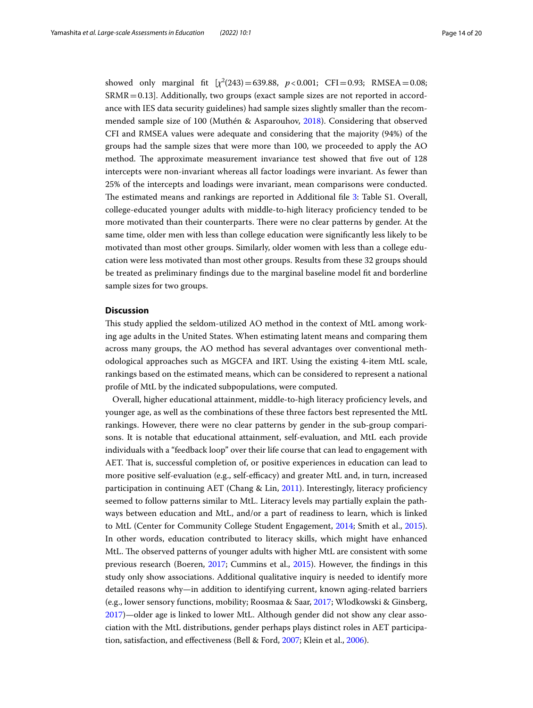showed only marginal fit  $[\chi^2(243) = 639.88, p < 0.001; CFI = 0.93; RMSEA = 0.08;$ SRMR=0.13]. Additionally, two groups (exact sample sizes are not reported in accordance with IES data security guidelines) had sample sizes slightly smaller than the recommended sample size of 100 (Muthén & Asparouhov, [2018\)](#page-18-27). Considering that observed CFI and RMSEA values were adequate and considering that the majority (94%) of the groups had the sample sizes that were more than 100, we proceeded to apply the AO method. The approximate measurement invariance test showed that five out of 128 intercepts were non-invariant whereas all factor loadings were invariant. As fewer than 25% of the intercepts and loadings were invariant, mean comparisons were conducted. The estimated means and rankings are reported in Additional file [3:](#page-16-2) Table S1. Overall, college-educated younger adults with middle-to-high literacy profciency tended to be more motivated than their counterparts. There were no clear patterns by gender. At the same time, older men with less than college education were signifcantly less likely to be motivated than most other groups. Similarly, older women with less than a college education were less motivated than most other groups. Results from these 32 groups should be treated as preliminary fndings due to the marginal baseline model ft and borderline sample sizes for two groups.

#### **Discussion**

Tis study applied the seldom-utilized AO method in the context of MtL among working age adults in the United States. When estimating latent means and comparing them across many groups, the AO method has several advantages over conventional methodological approaches such as MGCFA and IRT. Using the existing 4-item MtL scale, rankings based on the estimated means, which can be considered to represent a national profle of MtL by the indicated subpopulations, were computed.

Overall, higher educational attainment, middle-to-high literacy profciency levels, and younger age, as well as the combinations of these three factors best represented the MtL rankings. However, there were no clear patterns by gender in the sub-group comparisons. It is notable that educational attainment, self-evaluation, and MtL each provide individuals with a "feedback loop" over their life course that can lead to engagement with AET. Tat is, successful completion of, or positive experiences in education can lead to more positive self-evaluation (e.g., self-efficacy) and greater MtL and, in turn, increased participation in continuing AET (Chang & Lin, [2011\)](#page-17-10). Interestingly, literacy profciency seemed to follow patterns similar to MtL. Literacy levels may partially explain the pathways between education and MtL, and/or a part of readiness to learn, which is linked to MtL (Center for Community College Student Engagement, [2014;](#page-17-11) Smith et al., [2015](#page-18-16)). In other words, education contributed to literacy skills, which might have enhanced MtL. The observed patterns of younger adults with higher MtL are consistent with some previous research (Boeren, [2017](#page-17-1); Cummins et al., [2015](#page-17-7)). However, the fndings in this study only show associations. Additional qualitative inquiry is needed to identify more detailed reasons why—in addition to identifying current, known aging-related barriers (e.g., lower sensory functions, mobility; Roosmaa & Saar, [2017](#page-18-14); Wlodkowski & Ginsberg, [2017](#page-19-2))—older age is linked to lower MtL. Although gender did not show any clear association with the MtL distributions, gender perhaps plays distinct roles in AET participa-tion, satisfaction, and effectiveness (Bell & Ford, [2007;](#page-17-2) Klein et al., [2006\)](#page-18-7).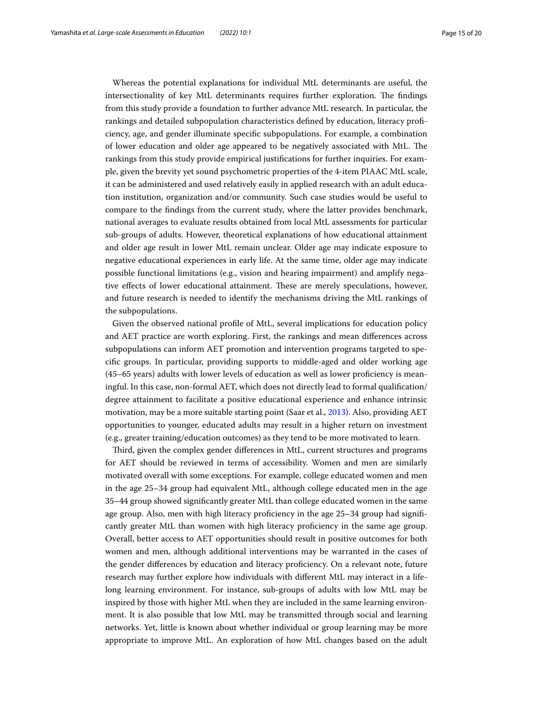Whereas the potential explanations for individual MtL determinants are useful, the intersectionality of key MtL determinants requires further exploration. The findings from this study provide a foundation to further advance MtL research. In particular, the rankings and detailed subpopulation characteristics defned by education, literacy profciency, age, and gender illuminate specifc subpopulations. For example, a combination of lower education and older age appeared to be negatively associated with MtL. The rankings from this study provide empirical justifcations for further inquiries. For example, given the brevity yet sound psychometric properties of the 4-item PIAAC MtL scale, it can be administered and used relatively easily in applied research with an adult education institution, organization and/or community. Such case studies would be useful to compare to the fndings from the current study, where the latter provides benchmark, national averages to evaluate results obtained from local MtL assessments for particular sub-groups of adults. However, theoretical explanations of how educational attainment and older age result in lower MtL remain unclear. Older age may indicate exposure to negative educational experiences in early life. At the same time, older age may indicate possible functional limitations (e.g., vision and hearing impairment) and amplify negative effects of lower educational attainment. These are merely speculations, however, and future research is needed to identify the mechanisms driving the MtL rankings of the subpopulations.

Given the observed national profle of MtL, several implications for education policy and AET practice are worth exploring. First, the rankings and mean diferences across subpopulations can inform AET promotion and intervention programs targeted to specifc groups. In particular, providing supports to middle-aged and older working age (45–65 years) adults with lower levels of education as well as lower profciency is meaningful. In this case, non-formal AET, which does not directly lead to formal qualifcation/ degree attainment to facilitate a positive educational experience and enhance intrinsic motivation, may be a more suitable starting point (Saar et al., [2013](#page-18-17)). Also, providing AET opportunities to younger, educated adults may result in a higher return on investment (e.g., greater training/education outcomes) as they tend to be more motivated to learn.

Tird, given the complex gender diferences in MtL, current structures and programs for AET should be reviewed in terms of accessibility. Women and men are similarly motivated overall with some exceptions. For example, college educated women and men in the age 25–34 group had equivalent MtL, although college educated men in the age 35–44 group showed signifcantly greater MtL than college educated women in the same age group. Also, men with high literacy profciency in the age 25–34 group had signifcantly greater MtL than women with high literacy profciency in the same age group. Overall, better access to AET opportunities should result in positive outcomes for both women and men, although additional interventions may be warranted in the cases of the gender diferences by education and literacy profciency. On a relevant note, future research may further explore how individuals with diferent MtL may interact in a lifelong learning environment. For instance, sub-groups of adults with low MtL may be inspired by those with higher MtL when they are included in the same learning environment. It is also possible that low MtL may be transmitted through social and learning networks. Yet, little is known about whether individual or group learning may be more appropriate to improve MtL. An exploration of how MtL changes based on the adult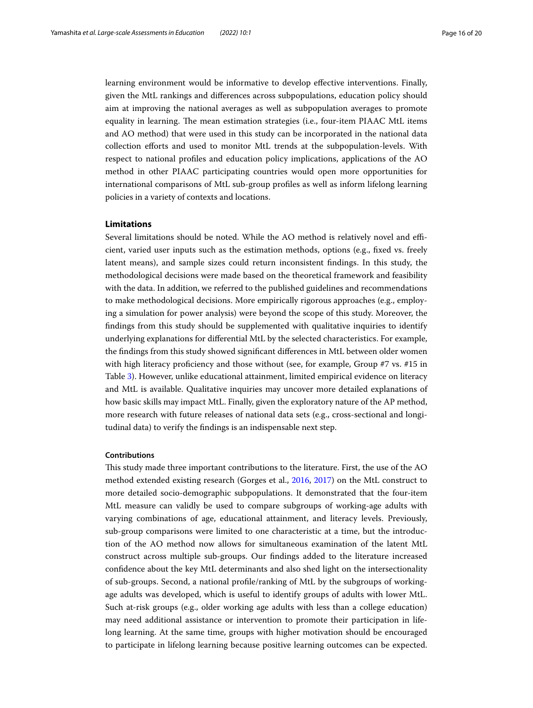learning environment would be informative to develop efective interventions. Finally, given the MtL rankings and diferences across subpopulations, education policy should aim at improving the national averages as well as subpopulation averages to promote equality in learning. The mean estimation strategies (i.e., four-item PIAAC MtL items and AO method) that were used in this study can be incorporated in the national data collection eforts and used to monitor MtL trends at the subpopulation-levels. With respect to national profles and education policy implications, applications of the AO method in other PIAAC participating countries would open more opportunities for international comparisons of MtL sub-group profles as well as inform lifelong learning policies in a variety of contexts and locations.

## **Limitations**

Several limitations should be noted. While the AO method is relatively novel and efficient, varied user inputs such as the estimation methods, options (e.g., fxed vs. freely latent means), and sample sizes could return inconsistent fndings. In this study, the methodological decisions were made based on the theoretical framework and feasibility with the data. In addition, we referred to the published guidelines and recommendations to make methodological decisions. More empirically rigorous approaches (e.g., employing a simulation for power analysis) were beyond the scope of this study. Moreover, the fndings from this study should be supplemented with qualitative inquiries to identify underlying explanations for diferential MtL by the selected characteristics. For example, the fndings from this study showed signifcant diferences in MtL between older women with high literacy proficiency and those without (see, for example, Group #7 vs. #15 in Table [3](#page-12-0)). However, unlike educational attainment, limited empirical evidence on literacy and MtL is available. Qualitative inquiries may uncover more detailed explanations of how basic skills may impact MtL. Finally, given the exploratory nature of the AP method, more research with future releases of national data sets (e.g., cross-sectional and longitudinal data) to verify the fndings is an indispensable next step.

#### **Contributions**

This study made three important contributions to the literature. First, the use of the AO method extended existing research (Gorges et al., [2016,](#page-17-16) [2017\)](#page-17-9) on the MtL construct to more detailed socio-demographic subpopulations. It demonstrated that the four-item MtL measure can validly be used to compare subgroups of working-age adults with varying combinations of age, educational attainment, and literacy levels. Previously, sub-group comparisons were limited to one characteristic at a time, but the introduction of the AO method now allows for simultaneous examination of the latent MtL construct across multiple sub-groups. Our fndings added to the literature increased confdence about the key MtL determinants and also shed light on the intersectionality of sub-groups. Second, a national profle/ranking of MtL by the subgroups of workingage adults was developed, which is useful to identify groups of adults with lower MtL. Such at-risk groups (e.g., older working age adults with less than a college education) may need additional assistance or intervention to promote their participation in lifelong learning. At the same time, groups with higher motivation should be encouraged to participate in lifelong learning because positive learning outcomes can be expected.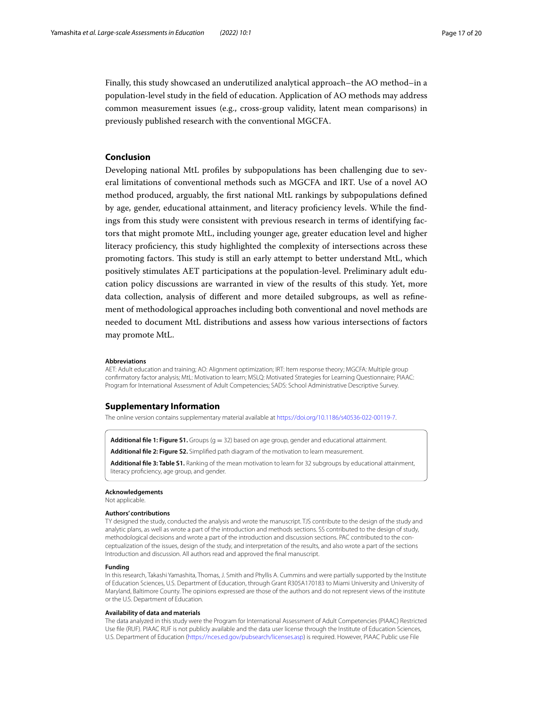Finally, this study showcased an underutilized analytical approach–the AO method–in a population-level study in the feld of education. Application of AO methods may address common measurement issues (e.g., cross-group validity, latent mean comparisons) in previously published research with the conventional MGCFA.

## **Conclusion**

Developing national MtL profles by subpopulations has been challenging due to several limitations of conventional methods such as MGCFA and IRT. Use of a novel AO method produced, arguably, the frst national MtL rankings by subpopulations defned by age, gender, educational attainment, and literacy profciency levels. While the fndings from this study were consistent with previous research in terms of identifying factors that might promote MtL, including younger age, greater education level and higher literacy profciency, this study highlighted the complexity of intersections across these promoting factors. Tis study is still an early attempt to better understand MtL, which positively stimulates AET participations at the population-level. Preliminary adult education policy discussions are warranted in view of the results of this study. Yet, more data collection, analysis of diferent and more detailed subgroups, as well as refnement of methodological approaches including both conventional and novel methods are needed to document MtL distributions and assess how various intersections of factors may promote MtL.

#### **Abbreviations**

AET: Adult education and training; AO: Alignment optimization; IRT: Item response theory; MGCFA: Multiple group confrmatory factor analysis; MtL: Motivation to learn; MSLQ: Motivated Strategies for Learning Questionnaire; PIAAC: Program for International Assessment of Adult Competencies; SADS: School Administrative Descriptive Survey.

## **Supplementary Information**

The online version contains supplementary material available at [https://doi.org/10.1186/s40536-022-00119-7.](https://doi.org/10.1186/s40536-022-00119-7)

<span id="page-16-1"></span><span id="page-16-0"></span>Additional file 1: Figure S1. Groups (g = 32) based on age group, gender and educational attainment.

<span id="page-16-2"></span>**Additional fle 2: Figure S2.** Simplifed path diagram of the motivation to learn measurement.

**Additional fle 3: Table S1.** Ranking of the mean motivation to learn for 32 subgroups by educational attainment, literacy proficiency, age group, and gender.

#### **Acknowledgements**

Not applicable.

#### **Authors' contributions**

TY designed the study, conducted the analysis and wrote the manuscript. TJS contribute to the design of the study and analytic plans, as well as wrote a part of the introduction and methods sections. SS contributed to the design of study, methodological decisions and wrote a part of the introduction and discussion sections. PAC contributed to the conceptualization of the issues, design of the study, and interpretation of the results, and also wrote a part of the sections Introduction and discussion. All authors read and approved the fnal manuscript.

#### **Funding**

In this research, Takashi Yamashita, Thomas, J. Smith and Phyllis A. Cummins and were partially supported by the Institute of Education Sciences, U.S. Department of Education, through Grant R305A170183 to Miami University and University of Maryland, Baltimore County. The opinions expressed are those of the authors and do not represent views of the institute or the U.S. Department of Education.

#### **Availability of data and materials**

The data analyzed in this study were the Program for International Assessment of Adult Competencies (PIAAC) Restricted Use fle (RUF). PIAAC RUF is not publicly available and the data user license through the Institute of Education Sciences, U.S. Department of Education (<https://nces.ed.gov/pubsearch/licenses.asp>) is required. However, PIAAC Public use File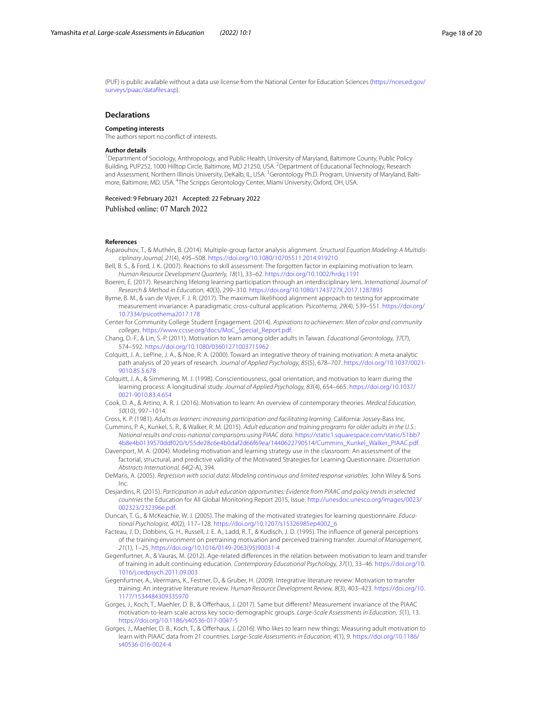(PUF) is public available without a data use license from the National Center for Education Sciences ([https://nces.ed.gov/](https://nces.ed.gov/surveys/piaac/datafiles.asp) [surveys/piaac/datafiles.asp\)](https://nces.ed.gov/surveys/piaac/datafiles.asp).

#### **Declarations**

#### **Competing interests**

The authors report no confict of interests.

#### **Author details**

<sup>1</sup> Department of Sociology, Anthropology, and Public Health, University of Maryland, Baltimore County, Public Policy Building, PUP252, 1000 Hilltop Circle, Baltimore, MD 21250, USA. <sup>2</sup>Department of Educational Technology, Research and Assessment, Northern Illinois University, DeKalb, IL, USA. <sup>3</sup>Gerontology Ph.D. Program, University of Maryland, Baltimore, Baltimore, MD, USA. <sup>4</sup>The Scripps Gerontology Center, Miami University, Oxford, OH, USA.

Received: 9 February 2021 Accepted: 22 February 2022 Published online: 07 March 2022

#### **References**

- <span id="page-17-17"></span>Asparouhov, T., & Muthén, B. (2014). Multiple-group factor analysis alignment. *Structural Equation Modeling: A Multidisciplinary Journal, 21*(4), 495–508. <https://doi.org/10.1080/10705511.2014.919210>
- <span id="page-17-2"></span>Bell, B. S., & Ford, J. K. (2007). Reactions to skill assessment: The forgotten factor in explaining motivation to learn. *Human Resource Development Quarterly, 18*(1), 33–62.<https://doi.org/10.1002/hrdq.1191>
- <span id="page-17-1"></span>Boeren, E. (2017). Researching lifelong learning participation through an interdisciplinary lens. *International Journal of Research & Method in Education, 40*(3), 299–310. <https://doi.org/10.1080/1743727X.2017.1287893>
- <span id="page-17-18"></span>Byrne, B. M., & van de Vijver, F. J. R. (2017). The maximum likelihood alignment approach to testing for approximate measurement invariance: A paradigmatic cross-cultural application. *Psicothema, 29*(4), 539–551. [https://doi.org/](https://doi.org/10.7334/psicothema2017.178) [10.7334/psicothema2017.178](https://doi.org/10.7334/psicothema2017.178)

<span id="page-17-11"></span>Center for Community College Student Engagement. (2014). *Aspirations to achievemen: Men of color and community colleges*. [https://www.ccsse.org/docs/MoC\\_Special\\_Report.pdf](https://www.ccsse.org/docs/MoC_Special_Report.pdf).

- <span id="page-17-10"></span>Chang, D.-F., & Lin, S.-P. (2011). Motivation to learn among older adults in Taiwan. *Educational Gerontology, 37*(7), 574–592.<https://doi.org/10.1080/03601271003715962>
- <span id="page-17-3"></span>Colquitt, J. A., LePine, J. A., & Noe, R. A. (2000). Toward an integrative theory of training motivation: A meta-analytic path analysis of 20 years of research. *Journal of Applied Psychology, 85*(5), 678–707. [https://doi.org/10.1037/0021-](https://doi.org/10.1037/0021-9010.85.5.678) [9010.85.5.678](https://doi.org/10.1037/0021-9010.85.5.678)
- <span id="page-17-13"></span>Colquitt, J. A., & Simmering, M. J. (1998). Conscientiousness, goal orientation, and motivation to learn during the learning process: A longitudinal study. *Journal of Applied Psychology, 83*(4), 654–665. [https://doi.org/10.1037/](https://doi.org/10.1037/0021-9010.83.4.654) [0021-9010.83.4.654](https://doi.org/10.1037/0021-9010.83.4.654)
- <span id="page-17-0"></span>Cook, D. A., & Artino, A. R. J. (2016). Motivation to learn: An overview of contemporary theories. *Medical Education, 50*(10), 997–1014.
- <span id="page-17-6"></span>Cross, K. P. (1981). *Adults as learners: increasing participation and facilitating learning*. California: Jossey-Bass Inc.
- <span id="page-17-7"></span>Cummins, P. A., Kunkel, S. R., & Walker, R. M. (2015). *Adult education and training programs for older adults in the U.S.: National results and cross-national comparisons using PIAAC data*. [https://static1.squarespace.com/static/51bb7](https://static1.squarespace.com/static/51bb74b8e4b0139570ddf020/t/55de28c6e4b0daf2d66f69ea/1440622790514/Cummins_Kunkel_Walker_PIAAC.pdf) [4b8e4b0139570ddf020/t/55de28c6e4b0daf2d66f69ea/1440622790514/Cummins\\_Kunkel\\_Walker\\_PIAAC.pdf.](https://static1.squarespace.com/static/51bb74b8e4b0139570ddf020/t/55de28c6e4b0daf2d66f69ea/1440622790514/Cummins_Kunkel_Walker_PIAAC.pdf)
- <span id="page-17-15"></span>Davenport, M. A. (2004). Modeling motivation and learning strategy use in the classroom: An assessment of the factorial, structural, and predictive validity of the Motivated Strategies for Learning Questionnaire. *Dissertation Abstracts International, 64*(2-A), 394.
- <span id="page-17-19"></span>DeMaris, A. (2005). *Regression with social data: Modeling continuous and limited response variables*. John Wiley & Sons Inc.
- <span id="page-17-5"></span>Desjardins, R. (2015). *Participation in adult education opportunities: Evidence from PIAAC and policy trends in selected countries* the Education for All Global Monitoring Report 2015, Issue. [http://unesdoc.unesco.org/images/0023/](http://unesdoc.unesco.org/images/0023/002323/232396e.pdf) [002323/232396e.pdf.](http://unesdoc.unesco.org/images/0023/002323/232396e.pdf)
- <span id="page-17-12"></span>Duncan, T. G., & McKeachie, W. J. (2005). The making of the motivated strategies for learning questionnaire. *Educational Psychologist, 40*(2), 117–128. [https://doi.org/10.1207/s15326985ep4002\\_6](https://doi.org/10.1207/s15326985ep4002_6)
- <span id="page-17-14"></span>Facteau, J. D., Dobbins, G. H., Russell, J. E. A., Ladd, R. T., & Kudisch, J. D. (1995). The infuence of general perceptions of the training environment on pretraining motivation and perceived training transfer. *Journal of Management, 21*(1), 1–25. [https://doi.org/10.1016/0149-2063\(95\)90031-4](https://doi.org/10.1016/0149-2063(95)90031-4)
- <span id="page-17-8"></span>Gegenfurtner, A., & Vauras, M. (2012). Age-related diferences in the relation between motivation to learn and transfer of training in adult continuing education. *Contemporary Educational Psychology, 37*(1), 33–46. [https://doi.org/10.](https://doi.org/10.1016/j.cedpsych.2011.09.003) [1016/j.cedpsych.2011.09.003](https://doi.org/10.1016/j.cedpsych.2011.09.003)
- <span id="page-17-4"></span>Gegenfurtner, A., Veermans, K., Festner, D., & Gruber, H. (2009). Integrative literature review: Motivation to transfer training: An integrative literature review. *Human Resource Development Review, 8*(3), 403–423. [https://doi.org/10.](https://doi.org/10.1177/1534484309335970) [1177/1534484309335970](https://doi.org/10.1177/1534484309335970)
- <span id="page-17-9"></span>Gorges, J., Koch, T., Maehler, D. B., & Oferhaus, J. (2017). Same but diferent? Measurement invariance of the PIAAC motivation-to-learn scale across key socio-demographic groups. *Large-Scale Assessments in Education, 5*(1), 13. <https://doi.org/10.1186/s40536-017-0047-5>
- <span id="page-17-16"></span>Gorges, J., Maehler, D. B., Koch, T., & Oferhaus, J. (2016). Who likes to learn new things: Measuring adult motivation to learn with PIAAC data from 21 countries. *Large-Scale Assessments in Education, 4*(1), 9. [https://doi.org/10.1186/](https://doi.org/10.1186/s40536-016-0024-4) [s40536-016-0024-4](https://doi.org/10.1186/s40536-016-0024-4)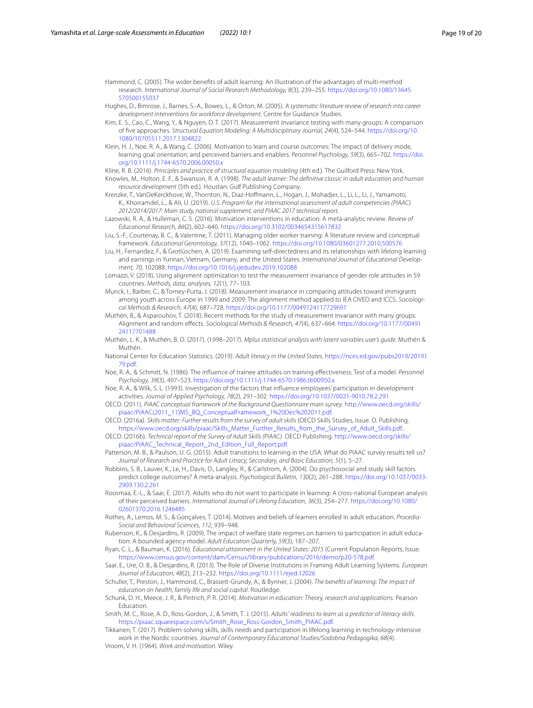- <span id="page-18-8"></span>Hammond, C. (2005). The wider benefts of adult learning: An illustration of the advantages of multi-method research. *International Journal of Social Research Methodology, 8*(3), 239–255. [https://doi.org/10.1080/13645](https://doi.org/10.1080/13645570500155037) [570500155037](https://doi.org/10.1080/13645570500155037)
- <span id="page-18-13"></span>Hughes, D., Bimrose, J., Barnes, S.-A., Bowes, L., & Orton, M. (2005). *A systematic literature review of research into career development interventions for workforce development*. Centre for Guidance Studies.
- <span id="page-18-25"></span>Kim, E. S., Cao, C., Wang, Y., & Nguyen, D. T. (2017). Measurement invariance testing with many groups: A comparison of fve approaches. *Structural Equation Modeling: A Multidisciplinary Journal, 24*(4), 524–544. [https://doi.org/10.](https://doi.org/10.1080/10705511.2017.1304822) [1080/10705511.2017.1304822](https://doi.org/10.1080/10705511.2017.1304822)
- <span id="page-18-7"></span>Klein, H. J., Noe, R. A., & Wang, C. (2006). Motivation to learn and course outcomes: The impact of delivery mode, learning goal orientation, and perceived barriers and enablers. *Personnel Psychology, 59*(3), 665–702. [https://doi.](https://doi.org/10.1111/j.1744-6570.2006.00050.x) [org/10.1111/j.1744-6570.2006.00050.x](https://doi.org/10.1111/j.1744-6570.2006.00050.x)
- <span id="page-18-24"></span><span id="page-18-2"></span>Kline, R. B. (2016). *Principles and practice of structural equation modeling* (4th ed.). The Guilford Press: New York. Knowles, M., Holton, E. F., & Swanson, R. A. (1998). *The adult learner: The defnitive classic in adult education and human resource development* (5th ed.). Houstan: Gulf Publishing Company.
- <span id="page-18-28"></span>Krenzke, T., VanDeKerckhove, W., Thornton, N., Diaz-Hofmann, L., Hogan, J., Mohadjer, L., Li, L., Li, J., Yamamoto, K., Khorramdel, L., & Ali, U. (2019). *U.S. Program for the international assessment of adult competencies (PIAAC) 2012/2014/2017: Main study, national supplement, and PIAAC 2017 technical report.*
- <span id="page-18-4"></span>Lazowski, R. A., & Hulleman, C. S. (2016). Motivation interventions in education: A meta-analytic review. *Review of Educational Research, 86*(2), 602–640. <https://doi.org/10.3102/0034654315617832>
- <span id="page-18-11"></span>Liu, S.-F., Courtenay, B. C., & Valentine, T. (2011). Managing older worker training: A literature review and conceptual framework. *Educational Gerontology, 37*(12), 1040–1062. <https://doi.org/10.1080/03601277.2010.500576>
- <span id="page-18-22"></span>Liu, H., Fernandez, F., & Grotlüschen, A. (2019). Examining self-directedness and its relationships with lifelong learning and earnings in Yunnan, Vietnam, Germany, and the United States. *International Journal of Educational Development, 70*, 102088.<https://doi.org/10.1016/j.ijedudev.2019.102088>
- <span id="page-18-26"></span>Lomazzi, V. (2018). Using alignment optimization to test the measurement invariance of gender role attitudes in 59 countries. *Methods, data, analyses, 12*(1), 77–103.
- <span id="page-18-23"></span>Munck, I., Barber, C., & Torney-Purta, J. (2018). Measurement invariance in comparing attitudes toward immigrants among youth across Europe in 1999 and 2009: The alignment method applied to IEA CIVED and ICCS. *Sociological Methods & Research, 47*(4), 687–728. <https://doi.org/10.1177/0049124117729691>
- <span id="page-18-27"></span>Muthén, B., & Asparouhov, T. (2018). Recent methods for the study of measurement invariance with many groups: Alignment and random efects. *Sociological Methods & Research, 47*(4), 637–664. [https://doi.org/10.1177/00491](https://doi.org/10.1177/0049124117701488) [24117701488](https://doi.org/10.1177/0049124117701488)
- <span id="page-18-31"></span>Muthén, L. K., & Muthén, B. O. (2017). (1998–2017). *Mplus statistical analysis with latent variables user's guide*. Muthén & Muthén.
- <span id="page-18-30"></span>National Center for Education Statistics. (2019). *Adult literacy in the United States*. [https://nces.ed.gov/pubs2019/20191](https://nces.ed.gov/pubs2019/2019179.pdf) [79.pdf.](https://nces.ed.gov/pubs2019/2019179.pdf)
- <span id="page-18-20"></span>Noe, R. A., & Schmitt, N. (1986). The infuence of trainee attitudes on training efectiveness: Test of a model. *Personnel Psychology, 39*(3), 497–523.<https://doi.org/10.1111/j.1744-6570.1986.tb00950.x>
- <span id="page-18-0"></span>Noe, R. A., & Wilk, S. L. (1993). Investigation of the factors that infuence employees' participation in development activities. *Journal of Applied Psychology, 78*(2), 291–302.<https://doi.org/10.1037/0021-9010.78.2.291>
- <span id="page-18-21"></span>OECD. (2011). *PIAAC conceptual framework of the Background Questionnaire main survey*. [http://www.oecd.org/skills/](http://www.oecd.org/skills/piaac/PIAAC(2011_11)MS_BQ_ConceptualFramework_1%20Dec%202011.pdf) [piaac/PIAAC\(2011\\_11\)MS\\_BQ\\_ConceptualFramework\\_1%20Dec%202011.pdf.](http://www.oecd.org/skills/piaac/PIAAC(2011_11)MS_BQ_ConceptualFramework_1%20Dec%202011.pdf)
- <span id="page-18-10"></span>OECD. (2016a). *Skills matter: Further results from the survey of adult skills* (OECD Skills Studies, Issue. O. Publishing. [https://www.oecd.org/skills/piaac/Skills\\_Matter\\_Further\\_Results\\_from\\_the\\_Survey\\_of\\_Adult\\_Skills.pdf](https://www.oecd.org/skills/piaac/Skills_Matter_Further_Results_from_the_Survey_of_Adult_Skills.pdf)..
- <span id="page-18-29"></span>OECD. (2016b). *Technical report of the Survey of Adult Skills (PIAAC)*. OECD Publishing. [http://www.oecd.org/skills/](http://www.oecd.org/skills/piaac/PIAAC_Technical_Report_2nd_Edition_Full_Report.pdf) [piaac/PIAAC\\_Technical\\_Report\\_2nd\\_Edition\\_Full\\_Report.pdf.](http://www.oecd.org/skills/piaac/PIAAC_Technical_Report_2nd_Edition_Full_Report.pdf)
- <span id="page-18-19"></span>Patterson, M. B., & Paulson, U. G. (2015). Adult transitions to learning in the USA: What do PIAAC survey results tell us? *Journal of Research and Practice for Adult Litracy, Secondary, and Basic Education, 5*(1), 5–27.
- <span id="page-18-12"></span>Robbins, S. B., Lauver, K., Le, H., Davis, D., Langley, R., & Carlstrom, A. (2004). Do psychosocial and study skill factors predict college outcomes? A meta-analysis. *Psychological Bulletin, 130*(2), 261–288. [https://doi.org/10.1037/0033-](https://doi.org/10.1037/0033-2909.130.2.261) [2909.130.2.261](https://doi.org/10.1037/0033-2909.130.2.261)
- <span id="page-18-14"></span>Roosmaa, E.-L., & Saar, E. (2017). Adults who do not want to participate in learning: A cross-national European analysis of their perceived barriers. *International Journal of Lifelong Education, 36*(3), 254–277. [https://doi.org/10.1080/](https://doi.org/10.1080/02601370.2016.1246485) [02601370.2016.1246485](https://doi.org/10.1080/02601370.2016.1246485)
- <span id="page-18-18"></span>Rothes, A., Lemos, M. S., & Gonçalves, T. (2014). Motives and beliefs of learners enrolled in adult education. *Procedia-Social and Behavioral Sciences, 112*, 939–948.
- <span id="page-18-9"></span>Rubenson, K., & Desjardins, R. (2009). The impact of welfare state regimes on barriers to participation in adult education: A bounded agency model. *Adult Education Quarterly, 59*(3), 187–207.
- <span id="page-18-15"></span>Ryan, C. L., & Bauman, K. (2016). *Educational attainment in the United States: 2015* (Current Population Reports, Issue. [https://www.census.gov/content/dam/Census/library/publications/2016/demo/p20-578.pdf.](https://www.census.gov/content/dam/Census/library/publications/2016/demo/p20-578.pdf)
- <span id="page-18-17"></span>Saar, E., Ure, O. B., & Desjardins, R. (2013). The Role of Diverse Institutions in Framing Adult Learning Systems. *European Journal of Education, 48*(2), 213–232. <https://doi.org/10.1111/ejed.12026>
- <span id="page-18-5"></span>Schuller, T., Preston, J., Hammond, C., Brassett-Grundy, A., & Bynner, J. (2004). *The benefts of learning: The impact of education on health, family life and social capital*. Routledge.
- <span id="page-18-1"></span>Schunk, D. H., Meece, J. R., & Pintrich, P. R. (2014). *Motivation in education: Theory, research and applications*. Pearson Education.
- <span id="page-18-16"></span>Smith, M. C., Rose, A. D., Ross-Gordon, J., & Smith, T. J. (2015). *Adults' readiness to learn as a predictor of literacy skills*. [https://piaac.squarespace.com/s/Smith\\_Rose\\_Ross-Gordon\\_Smith\\_PIAAC.pdf.](https://piaac.squarespace.com/s/Smith_Rose_Ross-Gordon_Smith_PIAAC.pdf)
- <span id="page-18-6"></span>Tikkanen, T. (2017). Problem-solving skills, skills needs and participation in lifelong learning in technology-intensive work in the Nordic countries. *Journal of Contemporary Educational Studies/Sodobna Pedagogika*, *68*(4).
- <span id="page-18-3"></span>Vroom, V. H. (1964). *Work and motivation*. Wiley.